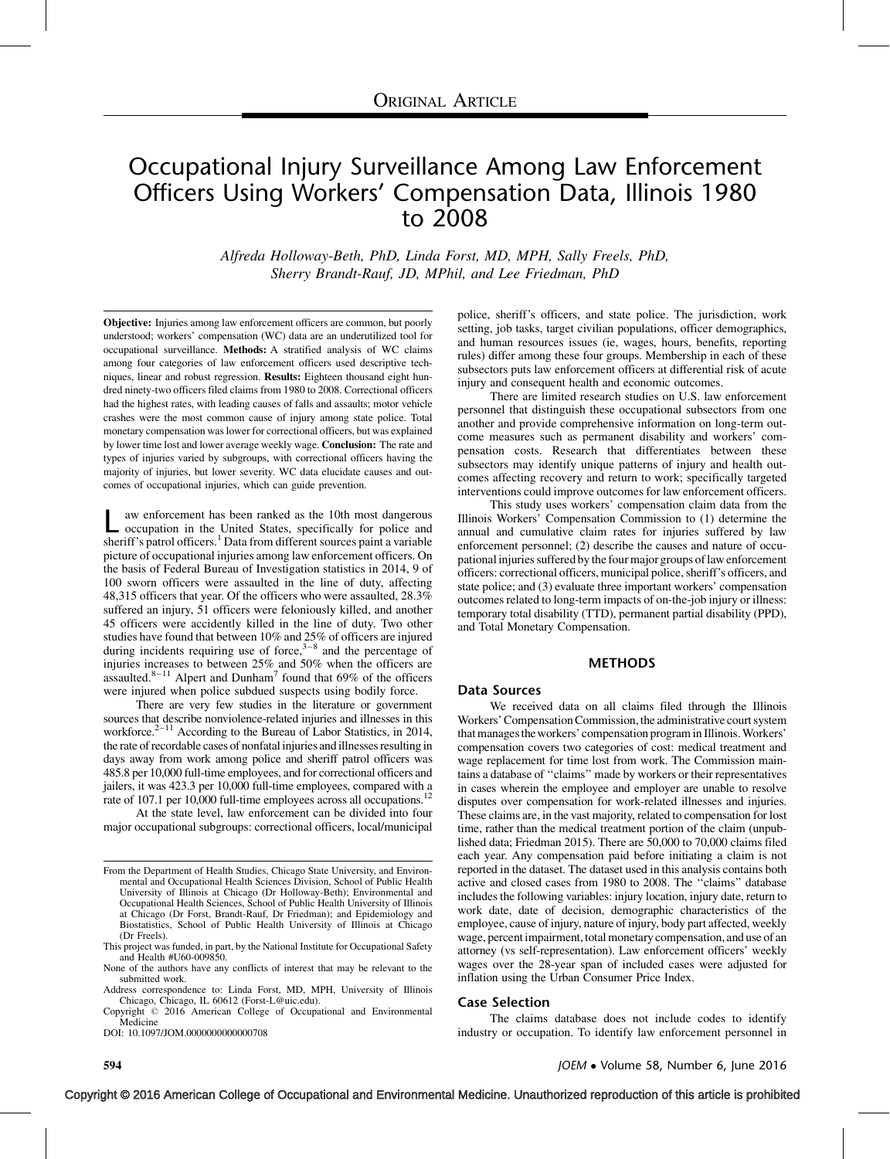# Occupational Injury Surveillance Among Law Enforcement Officers Using Workers' Compensation Data, Illinois 1980 to 2008

Alfreda Holloway-Beth, PhD, Linda Forst, MD, MPH, Sally Freels, PhD, Sherry Brandt-Rauf, JD, MPhil, and Lee Friedman, PhD

Objective: Injuries among law enforcement officers are common, but poorly understood; workers' compensation (WC) data are an underutilized tool for occupational surveillance. Methods: A stratified analysis of WC claims among four categories of law enforcement officers used descriptive techniques, linear and robust regression. Results: Eighteen thousand eight hundred ninety-two officers filed claims from 1980 to 2008. Correctional officers had the highest rates, with leading causes of falls and assaults; motor vehicle crashes were the most common cause of injury among state police. Total monetary compensation was lower for correctional officers, but was explained by lower time lost and lower average weekly wage. Conclusion: The rate and types of injuries varied by subgroups, with correctional officers having the majority of injuries, but lower severity. WC data elucidate causes and outcomes of occupational injuries, which can guide prevention.

we enforcement has been ranked as the 10th most dangerous<br>occupation in the United States, specifically for police and<br>the if  $\mathcal{E}$  attach of  $\mathcal{E}$  and  $\mathcal{E}$  and  $\mathcal{E}$  and  $\mathcal{E}$  and  $\mathcal{E}$  and  $\mathcal{E}$  an sheriff's patrol officers.<sup>1</sup> Data from different sources paint a variable picture of occupational injuries among law enforcement officers. On the basis of Federal Bureau of Investigation statistics in 2014, 9 of 100 sworn officers were assaulted in the line of duty, affecting 48,315 officers that year. Of the officers who were assaulted, 28.3% suffered an injury, 51 officers were feloniously killed, and another 45 officers were accidently killed in the line of duty. Two other studies have found that between  $10\%$  and  $25\%$  of officers are injured during incidents requiring use of force,<sup>3–8</sup> and the percentage of injuries increases to between 25% and 50% when the officers are assaulted. $8-11$  Alpert and Dunham<sup>[7](#page-5-0)</sup> found that 69% of the officers were injured when police subdued suspects using bodily force.

There are very few studies in the literature or government sources that describe nonviolence-related injuries and illnesses in this workforce.<sup>[2–11](#page-5-0)</sup> According to the Bureau of Labor Statistics, in 2014, the rate of recordable cases of nonfatal injuries and illnesses resulting in days away from work among police and sheriff patrol officers was 485.8 per 10,000 full-time employees, and for correctional officers and jailers, it was 423.3 per 10,000 full-time employees, compared with a rate of 107.1 per 10,000 full-time employees across all occupations[.12](#page-5-0)

At the state level, law enforcement can be divided into four major occupational subgroups: correctional officers, local/municipal

Copyright © 2016 American College of Occupational and Environmental Medicine

DOI: 10.1097/JOM.0000000000000708

police, sheriff's officers, and state police. The jurisdiction, work setting, job tasks, target civilian populations, officer demographics, and human resources issues (ie, wages, hours, benefits, reporting rules) differ among these four groups. Membership in each of these subsectors puts law enforcement officers at differential risk of acute injury and consequent health and economic outcomes.

There are limited research studies on U.S. law enforcement personnel that distinguish these occupational subsectors from one another and provide comprehensive information on long-term outcome measures such as permanent disability and workers' compensation costs. Research that differentiates between these subsectors may identify unique patterns of injury and health outcomes affecting recovery and return to work; specifically targeted interventions could improve outcomes for law enforcement officers.

This study uses workers' compensation claim data from the Illinois Workers' Compensation Commission to (1) determine the annual and cumulative claim rates for injuries suffered by law enforcement personnel; (2) describe the causes and nature of occupational injuries suffered by the four major groups of law enforcement officers: correctional officers, municipal police, sheriff's officers, and state police; and (3) evaluate three important workers' compensation outcomes related to long-term impacts of on-the-job injury or illness: temporary total disability (TTD), permanent partial disability (PPD), and Total Monetary Compensation.

#### METHODS

# Data Sources

We received data on all claims filed through the Illinois Workers' Compensation Commission, the administrative court system that managesthe workers' compensation program in Illinois.Workers' compensation covers two categories of cost: medical treatment and wage replacement for time lost from work. The Commission maintains a database of ''claims'' made by workers or their representatives in cases wherein the employee and employer are unable to resolve disputes over compensation for work-related illnesses and injuries. These claims are, in the vast majority, related to compensation for lost time, rather than the medical treatment portion of the claim (unpublished data; Friedman 2015). There are 50,000 to 70,000 claims filed each year. Any compensation paid before initiating a claim is not reported in the dataset. The dataset used in this analysis contains both active and closed cases from 1980 to 2008. The ''claims'' database includes the following variables: injury location, injury date, return to work date, date of decision, demographic characteristics of the employee, cause of injury, nature of injury, body part affected, weekly wage, percent impairment, total monetary compensation, and use of an attorney (vs self-representation). Law enforcement officers' weekly wages over the 28-year span of included cases were adjusted for inflation using the Urban Consumer Price Index.

#### Case Selection

The claims database does not include codes to identify industry or occupation. To identify law enforcement personnel in

From the Department of Health Studies, Chicago State University, and Environmental and Occupational Health Sciences Division, School of Public Health University of Illinois at Chicago (Dr Holloway-Beth); Environmental and Occupational Health Sciences, School of Public Health University of Illinois at Chicago (Dr Forst, Brandt-Rauf, Dr Friedman); and Epidemiology and Biostatistics, School of Public Health University of Illinois at Chicago (Dr Freels).

This project was funded, in part, by the National Institute for Occupational Safety and Health #U60-009850.

None of the authors have any conflicts of interest that may be relevant to the submitted work.

Address correspondence to: Linda Forst, MD, MPH, University of Illinois Chicago, Chicago, IL 60612 ([Forst-L@uic.edu\)](mailto:Forst-L@uic.edu).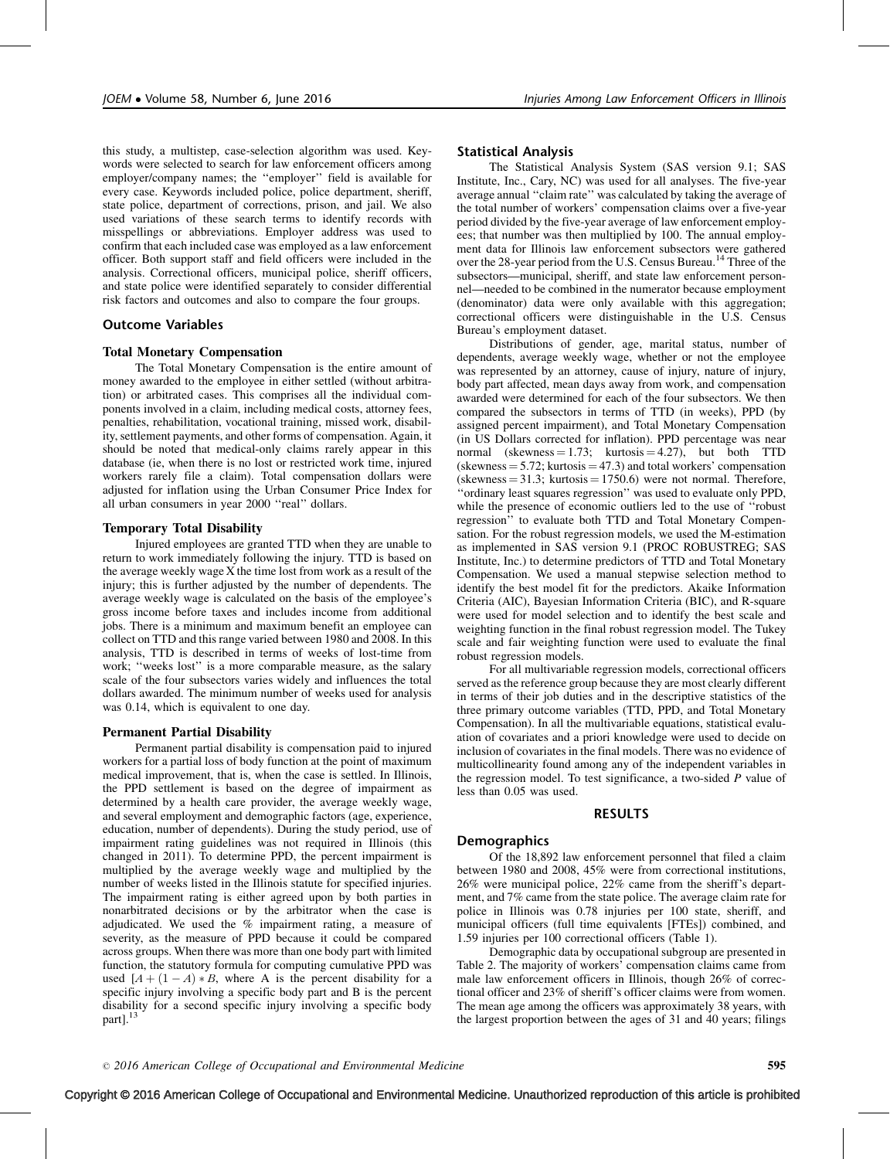this study, a multistep, case-selection algorithm was used. Keywords were selected to search for law enforcement officers among employer/company names; the ''employer'' field is available for every case. Keywords included police, police department, sheriff, state police, department of corrections, prison, and jail. We also used variations of these search terms to identify records with misspellings or abbreviations. Employer address was used to confirm that each included case was employed as a law enforcement officer. Both support staff and field officers were included in the analysis. Correctional officers, municipal police, sheriff officers, and state police were identified separately to consider differential risk factors and outcomes and also to compare the four groups.

# Outcome Variables

## Total Monetary Compensation

The Total Monetary Compensation is the entire amount of money awarded to the employee in either settled (without arbitration) or arbitrated cases. This comprises all the individual components involved in a claim, including medical costs, attorney fees, penalties, rehabilitation, vocational training, missed work, disability, settlement payments, and other forms of compensation. Again, it should be noted that medical-only claims rarely appear in this database (ie, when there is no lost or restricted work time, injured workers rarely file a claim). Total compensation dollars were adjusted for inflation using the Urban Consumer Price Index for all urban consumers in year 2000 ''real'' dollars.

## Temporary Total Disability

Injured employees are granted TTD when they are unable to return to work immediately following the injury. TTD is based on the average weekly wage X the time lost from work as a result of the injury; this is further adjusted by the number of dependents. The average weekly wage is calculated on the basis of the employee's gross income before taxes and includes income from additional jobs. There is a minimum and maximum benefit an employee can collect on TTD and this range varied between 1980 and 2008. In this analysis, TTD is described in terms of weeks of lost-time from work; ''weeks lost'' is a more comparable measure, as the salary scale of the four subsectors varies widely and influences the total dollars awarded. The minimum number of weeks used for analysis was 0.14, which is equivalent to one day.

## Permanent Partial Disability

Permanent partial disability is compensation paid to injured workers for a partial loss of body function at the point of maximum medical improvement, that is, when the case is settled. In Illinois, the PPD settlement is based on the degree of impairment as determined by a health care provider, the average weekly wage, and several employment and demographic factors (age, experience, education, number of dependents). During the study period, use of impairment rating guidelines was not required in Illinois (this changed in 2011). To determine PPD, the percent impairment is multiplied by the average weekly wage and multiplied by the number of weeks listed in the Illinois statute for specified injuries. The impairment rating is either agreed upon by both parties in nonarbitrated decisions or by the arbitrator when the case is adjudicated. We used the % impairment rating, a measure of severity, as the measure of PPD because it could be compared across groups. When there was more than one body part with limited function, the statutory formula for computing cumulative PPD was used  $[A + (1 - A) * B$ , where A is the percent disability for a specific injury involving a specific body part and B is the percent disability for a second specific injury involving a specific body part].<sup>[13](#page-5-0)</sup>

## Statistical Analysis

The Statistical Analysis System (SAS version 9.1; SAS Institute, Inc., Cary, NC) was used for all analyses. The five-year average annual ''claim rate'' was calculated by taking the average of the total number of workers' compensation claims over a five-year period divided by the five-year average of law enforcement employees; that number was then multiplied by 100. The annual employment data for Illinois law enforcement subsectors were gathered over the 28-year period from the U.S. Census Bureau.<sup>14</sup> Three of the subsectors—municipal, sheriff, and state law enforcement personnel—needed to be combined in the numerator because employment (denominator) data were only available with this aggregation; correctional officers were distinguishable in the U.S. Census Bureau's employment dataset.

Distributions of gender, age, marital status, number of dependents, average weekly wage, whether or not the employee was represented by an attorney, cause of injury, nature of injury, body part affected, mean days away from work, and compensation awarded were determined for each of the four subsectors. We then compared the subsectors in terms of TTD (in weeks), PPD (by assigned percent impairment), and Total Monetary Compensation (in US Dollars corrected for inflation). PPD percentage was near normal (skewness  $= 1.73$ ; kurtosis  $= 4.27$ ), but both TTD  $(s$ kewness  $= 5.72$ ; kurtosis  $= 47.3$ ) and total workers' compensation  $(s$ kewness = 31.3; kurtosis = 1750.6) were not normal. Therefore, ''ordinary least squares regression'' was used to evaluate only PPD, while the presence of economic outliers led to the use of ''robust regression'' to evaluate both TTD and Total Monetary Compensation. For the robust regression models, we used the M-estimation as implemented in SAS version 9.1 (PROC ROBUSTREG; SAS Institute, Inc.) to determine predictors of TTD and Total Monetary Compensation. We used a manual stepwise selection method to identify the best model fit for the predictors. Akaike Information Criteria (AIC), Bayesian Information Criteria (BIC), and R-square were used for model selection and to identify the best scale and weighting function in the final robust regression model. The Tukey scale and fair weighting function were used to evaluate the final robust regression models.

For all multivariable regression models, correctional officers served as the reference group because they are most clearly different in terms of their job duties and in the descriptive statistics of the three primary outcome variables (TTD, PPD, and Total Monetary Compensation). In all the multivariable equations, statistical evaluation of covariates and a priori knowledge were used to decide on inclusion of covariates in the final models. There was no evidence of multicollinearity found among any of the independent variables in the regression model. To test significance, a two-sided  $P$  value of less than 0.05 was used.

#### RESULTS

# Demographics

Of the 18,892 law enforcement personnel that filed a claim between 1980 and 2008, 45% were from correctional institutions, 26% were municipal police, 22% came from the sheriff's department, and 7% came from the state police. The average claim rate for police in Illinois was 0.78 injuries per 100 state, sheriff, and municipal officers (full time equivalents [FTEs]) combined, and 1.59 injuries per 100 correctional officers (Table 1).

Demographic data by occupational subgroup are presented in Table 2. The majority of workers' compensation claims came from male law enforcement officers in Illinois, though 26% of correctional officer and 23% of sheriff's officer claims were from women. The mean age among the officers was approximately 38 years, with the largest proportion between the ages of 31 and 40 years; filings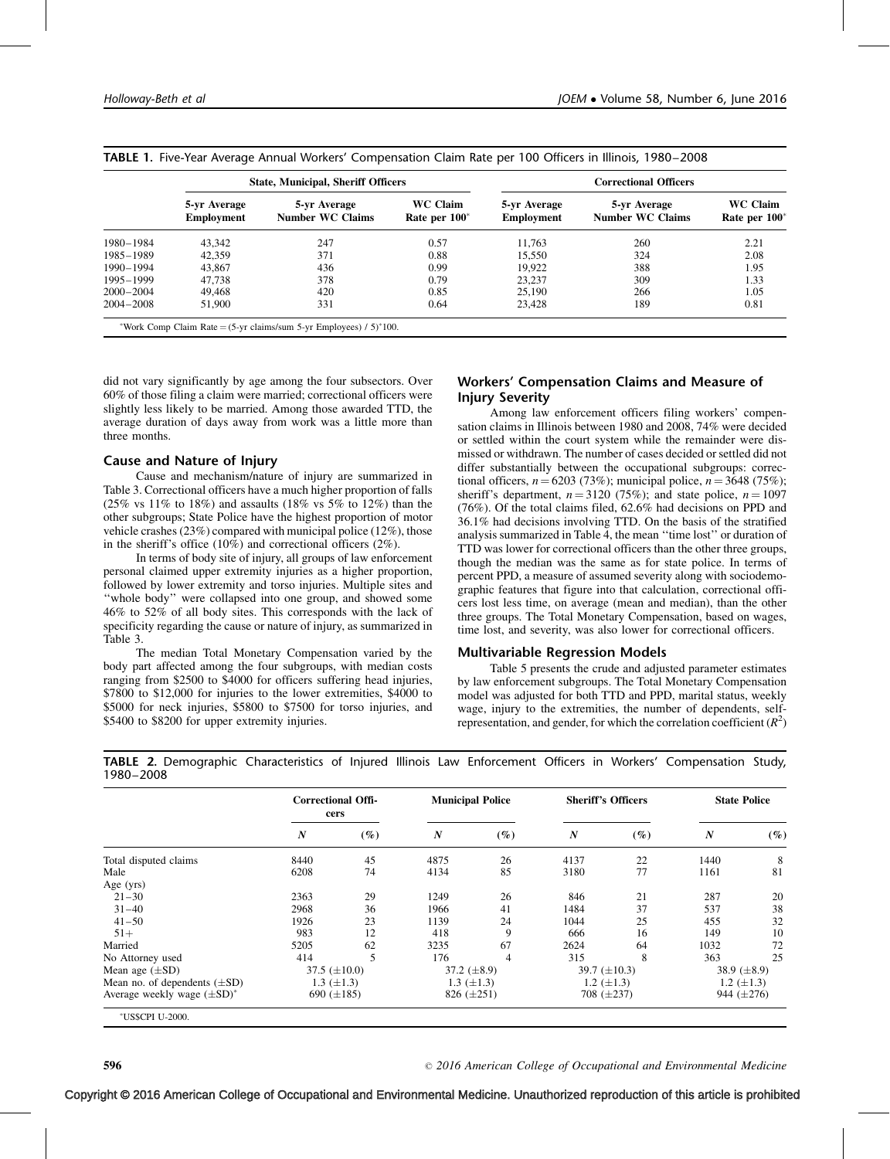|               |                            | <b>State, Municipal, Sheriff Officers</b> |                                  | <b>Correctional Officers</b>      |                                         |                                     |  |  |
|---------------|----------------------------|-------------------------------------------|----------------------------------|-----------------------------------|-----------------------------------------|-------------------------------------|--|--|
|               | 5-yr Average<br>Employment | 5-yr Average<br><b>Number WC Claims</b>   | <b>WC Claim</b><br>Rate per 100* | 5-yr Average<br><b>Employment</b> | 5-yr Average<br><b>Number WC Claims</b> | <b>WC Claim</b><br>Rate per $100^*$ |  |  |
| 1980-1984     | 43,342                     | 247                                       | 0.57                             | 11,763                            | 260                                     | 2.21                                |  |  |
| 1985-1989     | 42,359                     | 371                                       | 0.88                             | 15,550                            | 324                                     | 2.08                                |  |  |
| 1990-1994     | 43.867                     | 436                                       | 0.99                             | 19.922                            | 388                                     | 1.95                                |  |  |
| 1995-1999     | 47.738                     | 378                                       | 0.79                             | 23,237                            | 309                                     | 1.33                                |  |  |
| $2000 - 2004$ | 49.468                     | 420                                       | 0.85                             | 25,190                            | 266                                     | 1.05                                |  |  |
| $2004 - 2008$ | 51,900                     | 331                                       | 0.64                             | 23,428                            | 189                                     | 0.81                                |  |  |

|--|

did not vary significantly by age among the four subsectors. Over 60% of those filing a claim were married; correctional officers were slightly less likely to be married. Among those awarded TTD, the average duration of days away from work was a little more than three months.

# Cause and Nature of Injury

Cause and mechanism/nature of injury are summarized in Table 3. Correctional officers have a much higher proportion of falls (25% vs 11% to 18%) and assaults (18% vs 5% to 12%) than the other subgroups; State Police have the highest proportion of motor vehicle crashes (23%) compared with municipal police (12%), those in the sheriff's office (10%) and correctional officers (2%).

In terms of body site of injury, all groups of law enforcement personal claimed upper extremity injuries as a higher proportion, followed by lower extremity and torso injuries. Multiple sites and ''whole body'' were collapsed into one group, and showed some 46% to 52% of all body sites. This corresponds with the lack of specificity regarding the cause or nature of injury, as summarized in Table 3.

The median Total Monetary Compensation varied by the body part affected among the four subgroups, with median costs ranging from \$2500 to \$4000 for officers suffering head injuries, \$7800 to \$12,000 for injuries to the lower extremities, \$4000 to \$5000 for neck injuries, \$5800 to \$7500 for torso injuries, and \$5400 to \$8200 for upper extremity injuries.

# Workers' Compensation Claims and Measure of Injury Severity

Among law enforcement officers filing workers' compensation claims in Illinois between 1980 and 2008, 74% were decided or settled within the court system while the remainder were dismissed or withdrawn. The number of cases decided or settled did not differ substantially between the occupational subgroups: correctional officers,  $n = 6203 (73\%)$ ; municipal police,  $n = 3648 (75\%)$ ; sheriff's department,  $n = 3120$  (75%); and state police,  $n = 1097$ (76%). Of the total claims filed, 62.6% had decisions on PPD and 36.1% had decisions involving TTD. On the basis of the stratified analysis summarized in Table 4, the mean ''time lost'' or duration of TTD was lower for correctional officers than the other three groups, though the median was the same as for state police. In terms of percent PPD, a measure of assumed severity along with sociodemographic features that figure into that calculation, correctional officers lost less time, on average (mean and median), than the other three groups. The Total Monetary Compensation, based on wages, time lost, and severity, was also lower for correctional officers.

#### Multivariable Regression Models

Table 5 presents the crude and adjusted parameter estimates by law enforcement subgroups. The Total Monetary Compensation model was adjusted for both TTD and PPD, marital status, weekly wage, injury to the extremities, the number of dependents, selfrepresentation, and gender, for which the correlation coefficient  $(R^2)$ 

|                                   | <b>Correctional Offi-</b><br>cers |        | <b>Municipal Police</b> |        | <b>Sheriff's Officers</b> |        | <b>State Police</b> |        |
|-----------------------------------|-----------------------------------|--------|-------------------------|--------|---------------------------|--------|---------------------|--------|
|                                   | $\boldsymbol{N}$                  | $(\%)$ | $\boldsymbol{N}$        | $(\%)$ | $\boldsymbol{N}$          | $(\%)$ | $\boldsymbol{N}$    | $(\%)$ |
| Total disputed claims             | 8440                              | 45     | 4875                    | 26     | 4137                      | 22     | 1440                | 8      |
| Male                              | 6208                              | 74     | 4134                    | 85     | 3180                      | 77     | 1161                | 81     |
| Age $(yrs)$                       |                                   |        |                         |        |                           |        |                     |        |
| $21 - 30$                         | 2363                              | 29     | 1249                    | 26     | 846                       | 21     | 287                 | 20     |
| $31 - 40$                         | 2968                              | 36     | 1966                    | 41     | 1484                      | 37     | 537                 | 38     |
| $41 - 50$                         | 1926                              | 23     | 1139                    | 24     | 1044                      | 25     | 455                 | 32     |
| $51+$                             | 983                               | 12     | 418                     | 9      | 666                       | 16     | 149                 | 10     |
| Married                           | 5205                              | 62     | 3235                    | 67     | 2624                      | 64     | 1032                | 72     |
| No Attorney used                  | 414                               | 5      | 176                     | 4      | 315                       | 8      | 363                 | 25     |
| Mean age $(\pm SD)$               | 37.5 $(\pm 10.0)$                 |        | 37.2 $(\pm 8.9)$        |        | 39.7 $(\pm 10.3)$         |        | 38.9 $(\pm 8.9)$    |        |
| Mean no. of dependents $(\pm SD)$ | 1.3 $(\pm 1.3)$                   |        | 1.3 $(\pm 1.3)$         |        | 1.2 $(\pm 1.3)$           |        | 1.2 $(\pm 1.3)$     |        |
| Average weekly wage $(\pm SD)^*$  | 690 $(\pm 185)$                   |        | 826 $(\pm 251)$         |        | 708 $(\pm 237)$           |        | 944 $(\pm 276)$     |        |

TABLE 2. Demographic Characteristics of Injured Illinois Law Enforcement Officers in Workers' Compensation Study, 1980–2008

2016 American College of Occupational and Environmental Medicine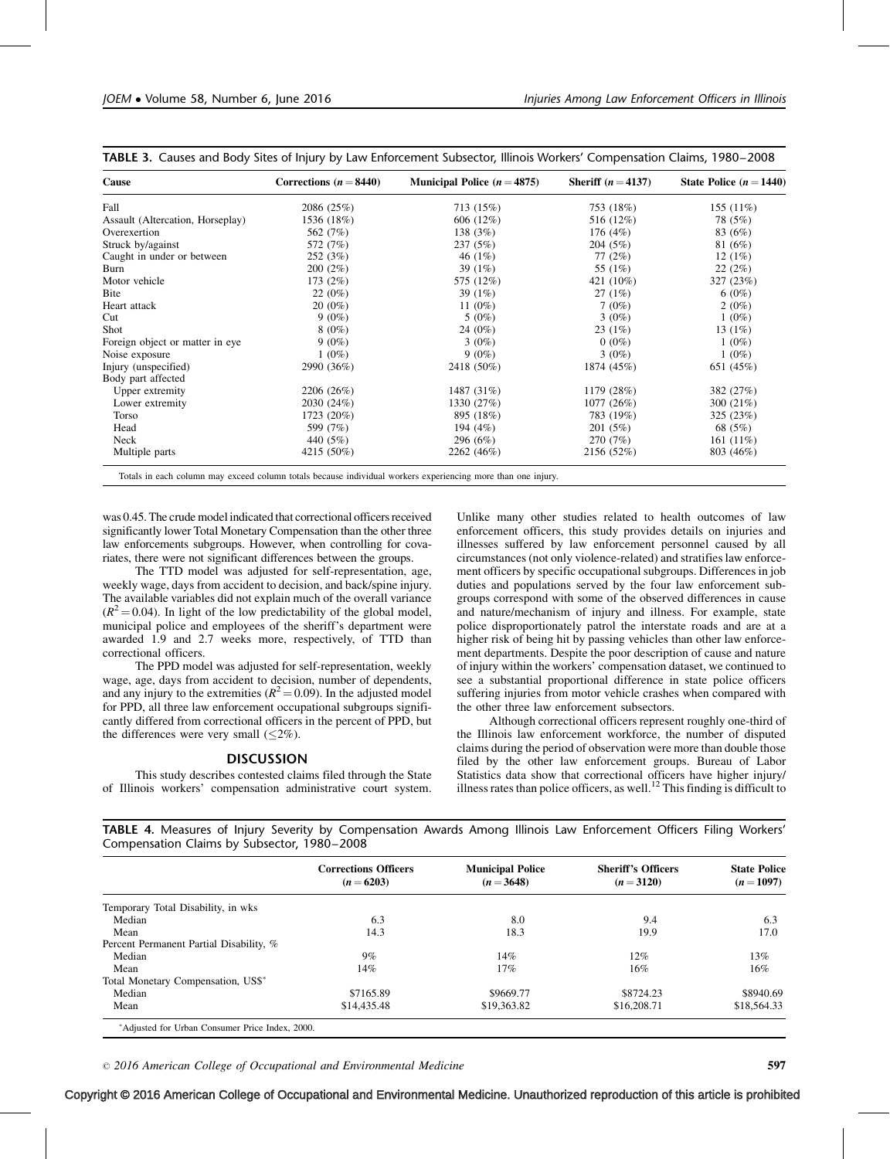| Cause                            | Corrections ( $n = 8440$ ) | Municipal Police $(n=4875)$ | Sheriff $(n=4137)$ | State Police $(n = 1440)$ |
|----------------------------------|----------------------------|-----------------------------|--------------------|---------------------------|
| Fall                             | 2086 (25%)                 | 713 (15%)                   | 753 (18%)          | 155 $(11\%)$              |
| Assault (Altercation, Horseplay) | 1536 (18%)                 | 606 (12%)                   | 516 (12%)          | 78 (5%)                   |
| Overexertion                     | 562 (7%)                   | 138 (3%)                    | 176(4%)            | 83 (6%)                   |
| Struck by/against                | 572 (7%)                   | 237 (5%)                    | 204 (5%)           | 81 (6%)                   |
| Caught in under or between       | 252 (3%)                   | 46 $(1%)$                   | 77 (2%)            | 12 $(1%)$                 |
| Burn                             | 200(2%)                    | 39 $(1%)$                   | 55 (1%)            | 22(2%)                    |
| Motor vehicle                    | 173(2%)                    | 575 (12%)                   | 421 (10%)          | 327 (23%)                 |
| Bite                             | $22(0\%)$                  | 39 $(1%)$                   | 27(1%)             | $6(0\%)$                  |
| Heart attack                     | $20(0\%)$                  | 11 $(0\%)$                  | 7(0%)              | $2(0\%)$                  |
| Cut                              | $9(0\%)$                   | $5(0\%)$                    | $3(0\%)$           | $1(0\%)$                  |
| Shot                             | $8(0\%)$                   | $24(0\%)$                   | 23(1%)             | 13 $(1%)$                 |
| Foreign object or matter in eye  | $9(0\%)$                   | $3(0\%)$                    | $0(0\%)$           | $1(0\%)$                  |
| Noise exposure                   | $1(0\%)$                   | $9(0\%)$                    | $3(0\%)$           | $1(0\%)$                  |
| Injury (unspecified)             | 2990 (36%)                 | 2418 (50%)                  | 1874 (45%)         | 651 (45%)                 |
| Body part affected               |                            |                             |                    |                           |
| Upper extremity                  | 2206 (26%)                 | 1487 (31%)                  | 1179 (28%)         | 382 (27%)                 |
| Lower extremity                  | 2030 (24%)                 | 1330 (27%)                  | 1077(26%)          | 300 (21%)                 |
| <b>Torso</b>                     | 1723 (20%)                 | 895 (18%)                   | 783 (19%)          | 325 (23%)                 |
| Head                             | 599 (7%)                   | 194 (4%)                    | 201 (5%)           | 68 (5%)                   |
| Neck                             | 440 (5%)                   | 296 (6%)                    | 270 (7%)           | 161 $(11\%)$              |
| Multiple parts                   | 4215 (50%)                 | 2262 (46%)                  | 2156 (52%)         | 803 (46%)                 |

TABLE 3. Causes and Body Sites of Injury by Law Enforcement Subsector, Illinois Workers' Compensation Claims, 1980–2008

was 0.45. The crude model indicated that correctional officers received significantly lower Total Monetary Compensation than the other three law enforcements subgroups. However, when controlling for covariates, there were not significant differences between the groups.

The TTD model was adjusted for self-representation, age, weekly wage, days from accident to decision, and back/spine injury. The available variables did not explain much of the overall variance  $(R^2 = 0.04)$ . In light of the low predictability of the global model, municipal police and employees of the sheriff's department were awarded 1.9 and 2.7 weeks more, respectively, of TTD than correctional officers.

The PPD model was adjusted for self-representation, weekly wage, age, days from accident to decision, number of dependents, and any injury to the extremities ( $R^2 = 0.09$ ). In the adjusted model for PPD, all three law enforcement occupational subgroups significantly differed from correctional officers in the percent of PPD, but the differences were very small  $(\leq 2\%)$ .

# **DISCUSSION**

This study describes contested claims filed through the State of Illinois workers' compensation administrative court system. Unlike many other studies related to health outcomes of law enforcement officers, this study provides details on injuries and illnesses suffered by law enforcement personnel caused by all circumstances (not only violence-related) and stratifies law enforcement officers by specific occupational subgroups. Differences in job duties and populations served by the four law enforcement subgroups correspond with some of the observed differences in cause and nature/mechanism of injury and illness. For example, state police disproportionately patrol the interstate roads and are at a higher risk of being hit by passing vehicles than other law enforcement departments. Despite the poor description of cause and nature of injury within the workers' compensation dataset, we continued to see a substantial proportional difference in state police officers suffering injuries from motor vehicle crashes when compared with the other three law enforcement subsectors.

Although correctional officers represent roughly one-third of the Illinois law enforcement workforce, the number of disputed claims during the period of observation were more than double those filed by the other law enforcement groups. Bureau of Labor Statistics data show that correctional officers have higher injury/ illness rates than police officers, as well.<sup>12</sup> This finding is difficult to

| Compensation Claims by Subsector, 1980–2008 |                                           |                                       |                                         |                                   |  |  |  |  |
|---------------------------------------------|-------------------------------------------|---------------------------------------|-----------------------------------------|-----------------------------------|--|--|--|--|
|                                             | <b>Corrections Officers</b><br>$(n=6203)$ | <b>Municipal Police</b><br>$(n=3648)$ | <b>Sheriff's Officers</b><br>$(n=3120)$ | <b>State Police</b><br>$(n=1097)$ |  |  |  |  |
| Temporary Total Disability, in wks          |                                           |                                       |                                         |                                   |  |  |  |  |
| Median                                      | 6.3                                       | 8.0                                   | 9.4                                     | 6.3                               |  |  |  |  |
| Mean                                        | 14.3                                      | 18.3                                  | 19.9                                    | 17.0                              |  |  |  |  |
| Percent Permanent Partial Disability, %     |                                           |                                       |                                         |                                   |  |  |  |  |
| Median                                      | 9%                                        | 14%                                   | 12%                                     | 13%                               |  |  |  |  |

Mean  $14\%$  17%  $16\%$  16% 16%

Median \$7165.89 \$9669.77 \$8724.23 \$8940.69 Mean 514,435.48 \$19,363.82 \$16,208.71 \$18,564.33

TABLE 4. Measures of Injury Severity by Compensation Awards Among Illinois Law Enforcement Officers Filing Workers' Compensation Claims by Subsector, 1980–2008

| © 2016 American College of Occupational and Environmental Medicine | 597 |
|--------------------------------------------------------------------|-----|
|--------------------------------------------------------------------|-----|

Total Monetary Compensation, US\$

Adjusted for Urban Consumer Price Index, 2000.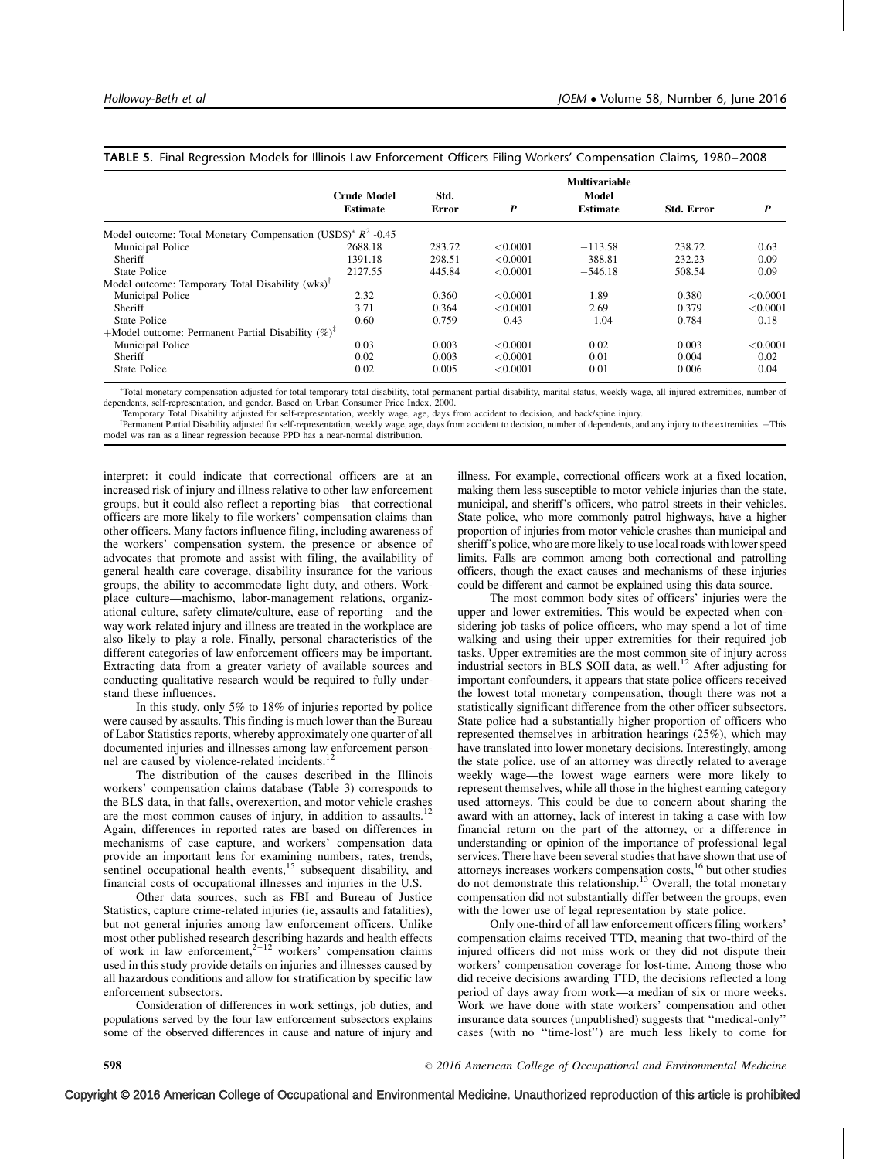|                                                                 | <b>Crude Model</b> | Std.         |                  | <b>Multivariable</b><br><b>Model</b> |                   |                  |
|-----------------------------------------------------------------|--------------------|--------------|------------------|--------------------------------------|-------------------|------------------|
|                                                                 | <b>Estimate</b>    | <b>Error</b> | $\boldsymbol{P}$ | <b>Estimate</b>                      | <b>Std. Error</b> | $\boldsymbol{P}$ |
| Model outcome: Total Monetary Compensation (USD\$)* $R^2$ -0.45 |                    |              |                  |                                      |                   |                  |
| Municipal Police                                                | 2688.18            | 283.72       | < 0.0001         | $-113.58$                            | 238.72            | 0.63             |
| Sheriff                                                         | 1391.18            | 298.51       | < 0.0001         | $-388.81$                            | 232.23            | 0.09             |
| <b>State Police</b>                                             | 2127.55            | 445.84       | < 0.0001         | $-546.18$                            | 508.54            | 0.09             |
| Model outcome: Temporary Total Disability (wks) <sup>T</sup>    |                    |              |                  |                                      |                   |                  |
| <b>Municipal Police</b>                                         | 2.32               | 0.360        | < 0.0001         | 1.89                                 | 0.380             | < 0.0001         |
| Sheriff                                                         | 3.71               | 0.364        | < 0.0001         | 2.69                                 | 0.379             | < 0.0001         |
| State Police                                                    | 0.60               | 0.759        | 0.43             | $-1.04$                              | 0.784             | 0.18             |
| +Model outcome: Permanent Partial Disability $(\%)^T$           |                    |              |                  |                                      |                   |                  |
| Municipal Police                                                | 0.03               | 0.003        | < 0.0001         | 0.02                                 | 0.003             | < 0.0001         |
| Sheriff                                                         | 0.02               | 0.003        | < 0.0001         | 0.01                                 | 0.004             | 0.02             |
| <b>State Police</b>                                             | 0.02               | 0.005        | < 0.0001         | 0.01                                 | 0.006             | 0.04             |

## TABLE 5. Final Regression Models for Illinois Law Enforcement Officers Filing Workers' Compensation Claims, 1980–2008

 Total monetary compensation adjusted for total temporary total disability, total permanent partial disability, marital status, weekly wage, all injured extremities, number of dependents, self-representation, and gender. Based on Urban Consumer Price Index, 2000.

Temporary Total Disability adjusted for self-representation, weekly wage, age, days from accident to decision, and back/spine injury.

<sup>‡</sup>Permanent Partial Disability adjusted for self-representation, weekly wage, age, days from accident to decision, number of dependents, and any injury to the extremities. +This model was ran as a linear regression because PPD has a near-normal distribution.

interpret: it could indicate that correctional officers are at an increased risk of injury and illness relative to other law enforcement groups, but it could also reflect a reporting bias—that correctional officers are more likely to file workers' compensation claims than other officers. Many factors influence filing, including awareness of the workers' compensation system, the presence or absence of advocates that promote and assist with filing, the availability of general health care coverage, disability insurance for the various groups, the ability to accommodate light duty, and others. Workplace culture—machismo, labor-management relations, organizational culture, safety climate/culture, ease of reporting—and the way work-related injury and illness are treated in the workplace are also likely to play a role. Finally, personal characteristics of the different categories of law enforcement officers may be important. Extracting data from a greater variety of available sources and conducting qualitative research would be required to fully understand these influences.

In this study, only 5% to 18% of injuries reported by police were caused by assaults. This finding is much lower than the Bureau of Labor Statistics reports, whereby approximately one quarter of all documented injuries and illnesses among law enforcement personnel are caused by violence-related incidents.[12](#page-5-0)

The distribution of the causes described in the Illinois workers' compensation claims database (Table 3) corresponds to the BLS data, in that falls, overexertion, and motor vehicle crashes are the most common causes of injury, in addition to assaults.<sup>[12](#page-5-0)</sup> Again, differences in reported rates are based on differences in mechanisms of case capture, and workers' compensation data provide an important lens for examining numbers, rates, trends, sentinel occupational health events, $15$  subsequent disability, and financial costs of occupational illnesses and injuries in the U.S.

Other data sources, such as FBI and Bureau of Justice Statistics, capture crime-related injuries (ie, assaults and fatalities), but not general injuries among law enforcement officers. Unlike most other published research describing hazards and health effects of work in law enforcement,<sup>2-12</sup> workers' compensation claims used in this study provide details on injuries and illnesses caused by all hazardous conditions and allow for stratification by specific law enforcement subsectors.

Consideration of differences in work settings, job duties, and populations served by the four law enforcement subsectors explains some of the observed differences in cause and nature of injury and illness. For example, correctional officers work at a fixed location, making them less susceptible to motor vehicle injuries than the state, municipal, and sheriff's officers, who patrol streets in their vehicles. State police, who more commonly patrol highways, have a higher proportion of injuries from motor vehicle crashes than municipal and sheriff's police, who are more likely to use local roads with lower speed limits. Falls are common among both correctional and patrolling officers, though the exact causes and mechanisms of these injuries could be different and cannot be explained using this data source.

The most common body sites of officers' injuries were the upper and lower extremities. This would be expected when considering job tasks of police officers, who may spend a lot of time walking and using their upper extremities for their required job tasks. Upper extremities are the most common site of injury across industrial sectors in BLS SOII data, as well.<sup>[12](#page-5-0)</sup> After adjusting for important confounders, it appears that state police officers received the lowest total monetary compensation, though there was not a statistically significant difference from the other officer subsectors. State police had a substantially higher proportion of officers who represented themselves in arbitration hearings (25%), which may have translated into lower monetary decisions. Interestingly, among the state police, use of an attorney was directly related to average weekly wage—the lowest wage earners were more likely to represent themselves, while all those in the highest earning category used attorneys. This could be due to concern about sharing the award with an attorney, lack of interest in taking a case with low financial return on the part of the attorney, or a difference in understanding or opinion of the importance of professional legal services. There have been several studies that have shown that use of attorneys increases workers compensation costs,[16](#page-6-0) but other studies do not demonstrate this relationship.<sup>[13](#page-5-0)</sup> Overall, the total monetary compensation did not substantially differ between the groups, even with the lower use of legal representation by state police.

Only one-third of all law enforcement officers filing workers' compensation claims received TTD, meaning that two-third of the injured officers did not miss work or they did not dispute their workers' compensation coverage for lost-time. Among those who did receive decisions awarding TTD, the decisions reflected a long period of days away from work—a median of six or more weeks. Work we have done with state workers' compensation and other insurance data sources (unpublished) suggests that ''medical-only'' cases (with no ''time-lost'') are much less likely to come for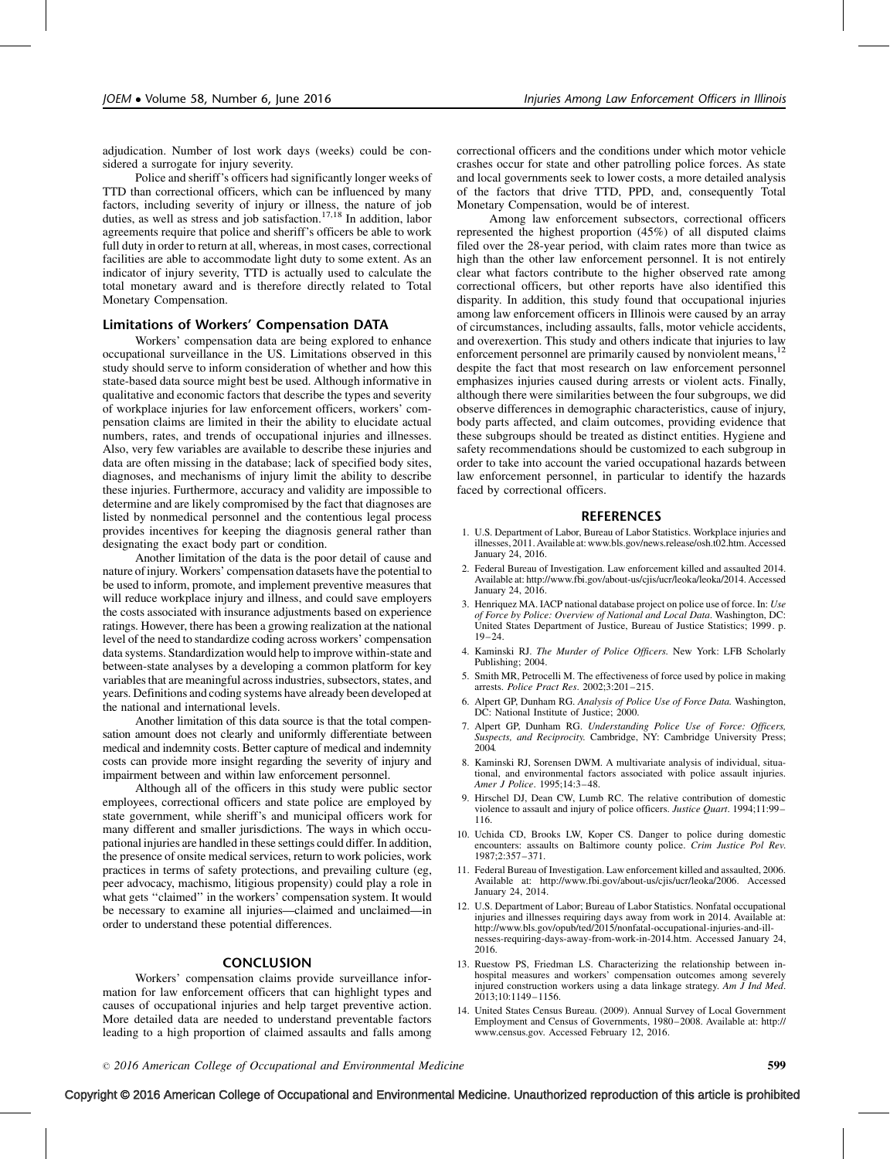<span id="page-5-0"></span>adjudication. Number of lost work days (weeks) could be considered a surrogate for injury severity.

Police and sheriff's officers had significantly longer weeks of TTD than correctional officers, which can be influenced by many factors, including severity of injury or illness, the nature of job duties, as well as stress and job satisfaction.<sup>[17,18](#page-6-0)</sup> In addition, labor agreements require that police and sheriff's officers be able to work full duty in order to return at all, whereas, in most cases, correctional facilities are able to accommodate light duty to some extent. As an indicator of injury severity, TTD is actually used to calculate the total monetary award and is therefore directly related to Total Monetary Compensation.

## Limitations of Workers' Compensation DATA

Workers' compensation data are being explored to enhance occupational surveillance in the US. Limitations observed in this study should serve to inform consideration of whether and how this state-based data source might best be used. Although informative in qualitative and economic factors that describe the types and severity of workplace injuries for law enforcement officers, workers' compensation claims are limited in their the ability to elucidate actual numbers, rates, and trends of occupational injuries and illnesses. Also, very few variables are available to describe these injuries and data are often missing in the database; lack of specified body sites, diagnoses, and mechanisms of injury limit the ability to describe these injuries. Furthermore, accuracy and validity are impossible to determine and are likely compromised by the fact that diagnoses are listed by nonmedical personnel and the contentious legal process provides incentives for keeping the diagnosis general rather than designating the exact body part or condition.

Another limitation of the data is the poor detail of cause and nature of injury. Workers' compensation datasets have the potential to be used to inform, promote, and implement preventive measures that will reduce workplace injury and illness, and could save employers the costs associated with insurance adjustments based on experience ratings. However, there has been a growing realization at the national level of the need to standardize coding across workers' compensation data systems. Standardization would help to improve within-state and between-state analyses by a developing a common platform for key variables that are meaningful across industries, subsectors, states, and years. Definitions and coding systems have already been developed at the national and international levels.

Another limitation of this data source is that the total compensation amount does not clearly and uniformly differentiate between medical and indemnity costs. Better capture of medical and indemnity costs can provide more insight regarding the severity of injury and impairment between and within law enforcement personnel.

Although all of the officers in this study were public sector employees, correctional officers and state police are employed by state government, while sheriff's and municipal officers work for many different and smaller jurisdictions. The ways in which occupational injuries are handled in these settings could differ. In addition, the presence of onsite medical services, return to work policies, work practices in terms of safety protections, and prevailing culture (eg, peer advocacy, machismo, litigious propensity) could play a role in what gets "claimed" in the workers' compensation system. It would be necessary to examine all injuries—claimed and unclaimed—in order to understand these potential differences.

#### **CONCLUSION**

Workers' compensation claims provide surveillance information for law enforcement officers that can highlight types and causes of occupational injuries and help target preventive action. More detailed data are needed to understand preventable factors leading to a high proportion of claimed assaults and falls among correctional officers and the conditions under which motor vehicle crashes occur for state and other patrolling police forces. As state and local governments seek to lower costs, a more detailed analysis of the factors that drive TTD, PPD, and, consequently Total Monetary Compensation, would be of interest.

Among law enforcement subsectors, correctional officers represented the highest proportion (45%) of all disputed claims filed over the 28-year period, with claim rates more than twice as high than the other law enforcement personnel. It is not entirely clear what factors contribute to the higher observed rate among correctional officers, but other reports have also identified this disparity. In addition, this study found that occupational injuries among law enforcement officers in Illinois were caused by an array of circumstances, including assaults, falls, motor vehicle accidents, and overexertion. This study and others indicate that injuries to law enforcement personnel are primarily caused by nonviolent means,<sup>12</sup> despite the fact that most research on law enforcement personnel emphasizes injuries caused during arrests or violent acts. Finally, although there were similarities between the four subgroups, we did observe differences in demographic characteristics, cause of injury, body parts affected, and claim outcomes, providing evidence that these subgroups should be treated as distinct entities. Hygiene and safety recommendations should be customized to each subgroup in order to take into account the varied occupational hazards between law enforcement personnel, in particular to identify the hazards faced by correctional officers.

#### REFERENCES

- 1. U.S. Department of Labor, Bureau of Labor Statistics. Workplace injuries and illnesses, 2011. Available at: [www.bls.gov/news.release/osh.t02.htm. Accessed](http://www.bls.gov/news.release/osh.t02.htm) [January 24, 2016.](http://www.bls.gov/news.release/osh.t02.htm)
- 2. Federal Bureau of Investigation. Law enforcement killed and assaulted 2014. Available at: [http://www.fbi.gov/about-us/cjis/ucr/leoka/leoka/2014. Accessed](http://www.fbi.gov/about-us/cjis/ucr/leoka/leoka/2014) [January 24, 2016.](http://www.fbi.gov/about-us/cjis/ucr/leoka/leoka/2014)
- 3. Henriquez MA. IACP national database project on police use of force. In: Use of Force by Police: Overview of National and Local Data. Washington, DC: United States Department of Justice, Bureau of Justice Statistics; 1999. p. 19–24.
- 4. Kaminski RJ. The Murder of Police Officers. New York: LFB Scholarly Publishing; 2004.
- 5. Smith MR, Petrocelli M. The effectiveness of force used by police in making arrests. Police Pract Res. 2002;3:201–215.
- 6. Alpert GP, Dunham RG. Analysis of Police Use of Force Data. Washington, DC: National Institute of Justice; 2000.
- 7. Alpert GP, Dunham RG. Understanding Police Use of Force: Officers, Suspects, and Reciprocity. Cambridge, NY: Cambridge University Press; 2004.
- 8. Kaminski RJ, Sorensen DWM. A multivariate analysis of individual, situational, and environmental factors associated with police assault injuries. Amer J Police. 1995;14:3–48.
- 9. Hirschel DJ, Dean CW, Lumb RC. The relative contribution of domestic violence to assault and injury of police officers. Justice Quart. 1994;11:99-116.
- 10. Uchida CD, Brooks LW, Koper CS. Danger to police during domestic encounters: assaults on Baltimore county police. Crim Justice Pol Rev. 1987;2:357–371.
- 11. Federal Bureau of Investigation. Law enforcement killed and assaulted, 2006. Available at: [http://www.fbi.gov/about-us/cjis/ucr/leoka/2006. Accessed](http://www.fbi.gov/about-us/cjis/ucr/leoka/2006) [January 24, 2014.](http://www.fbi.gov/about-us/cjis/ucr/leoka/2006)
- 12. U.S. Department of Labor; Bureau of Labor Statistics. Nonfatal occupational injuries and illnesses requiring days away from work in 2014. Available at: [http://www.bls.gov/opub/ted/2015/nonfatal-occupational-injuries-and-ill](http://www.bls.gov/opub/ted/2015/nonfatal-occupational-injuries-and-illnesses-requiring-days-away-from-work-in-2014.htm)[nesses-requiring-days-away-from-work-in-2014.htm. Accessed January 24,](http://www.bls.gov/opub/ted/2015/nonfatal-occupational-injuries-and-illnesses-requiring-days-away-from-work-in-2014.htm) [2016.](http://www.bls.gov/opub/ted/2015/nonfatal-occupational-injuries-and-illnesses-requiring-days-away-from-work-in-2014.htm)
- 13. Ruestow PS, Friedman LS. Characterizing the relationship between in-hospital measures and workers' compensation outcomes among severely injured construction workers using a data linkage strategy. Am J Ind Med. 2013;10:1149–1156.
- 14. United States Census Bureau. (2009). Annual Survey of Local Government Employment and Census of Governments, 1980–2008. Available at: [http://](http://www.census.gov/) [www.census.gov. Accessed February 12, 2016.](http://www.census.gov/)

 $\degree$  2016 American College of Occupational and Environmental Medicine  $\degree$  599